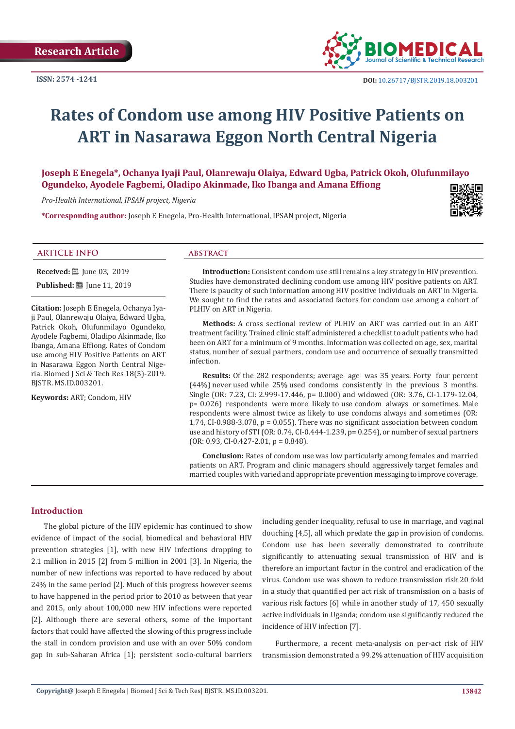

# **Rates of Condom use among HIV Positive Patients on ART in Nasarawa Eggon North Central Nigeria**

**Joseph E Enegela\*, Ochanya Iyaji Paul, Olanrewaju Olaiya, Edward Ugba, Patrick Okoh, Olufunmilayo Ogundeko, Ayodele Fagbemi, Oladipo Akinmade, Iko Ibanga and Amana Effiong**

*Pro-Health International, IPSAN project, Nigeria*

**\*Corresponding author:** Joseph E Enegela, Pro-Health International, IPSAN project, Nigeria



### **ARTICLE INFO abstract**

**Received:** ■ Iune 03, 2019

**Published:** [1] Iune 11, 2019

**Citation:** Joseph E Enegela, Ochanya Iyaji Paul, Olanrewaju Olaiya, Edward Ugba, Patrick Okoh, Olufunmilayo Ogundeko, Ayodele Fagbemi, Oladipo Akinmade, Iko Ibanga, Amana Effiong. Rates of Condom use among HIV Positive Patients on ART in Nasarawa Eggon North Central Nigeria. Biomed J Sci & Tech Res 18(5)-2019. BJSTR. MS.ID.003201.

**Keywords:** ART; Condom, HIV

**Introduction:** Consistent condom use still remains a key strategy in HIV prevention. Studies have demonstrated declining condom use among HIV positive patients on ART. There is paucity of such information among HIV positive individuals on ART in Nigeria. We sought to find the rates and associated factors for condom use among a cohort of PLHIV on ART in Nigeria.

**Methods:** A cross sectional review of PLHIV on ART was carried out in an ART treatment facility. Trained clinic staff administered a checklist to adult patients who had been on ART for a minimum of 9 months. Information was collected on age, sex, marital status, number of sexual partners, condom use and occurrence of sexually transmitted infection.

**Results:** Of the 282 respondents; average age was 35 years. Forty four percent (44%) never used while 25% used condoms consistently in the previous 3 months. Single (OR: 7.23, CI: 2.999-17.446, p= 0.000) and widowed (OR: 3.76, CI-1.179-12.04, p= 0.026) respondents were more likely to use condom always or sometimes. Male respondents were almost twice as likely to use condoms always and sometimes (OR: 1.74, CI-0.988-3.078,  $p = 0.055$ ). There was no significant association between condom use and history of STI (OR: 0.74, CI-0.444-1.239, p= 0.254), or number of sexual partners  $(OR: 0.93, CI-0.427-2.01, p = 0.848).$ 

**Conclusion:** Rates of condom use was low particularly among females and married patients on ART. Program and clinic managers should aggressively target females and married couples with varied and appropriate prevention messaging to improve coverage.

# **Introduction**

The global picture of the HIV epidemic has continued to show evidence of impact of the social, biomedical and behavioral HIV prevention strategies [1], with new HIV infections dropping to 2.1 million in 2015 [2] from 5 million in 2001 [3]. In Nigeria, the number of new infections was reported to have reduced by about 24% in the same period [2]. Much of this progress however seems to have happened in the period prior to 2010 as between that year and 2015, only about 100,000 new HIV infections were reported [2]. Although there are several others, some of the important factors that could have affected the slowing of this progress include the stall in condom provision and use with an over 50% condom gap in sub-Saharan Africa [1]; persistent socio-cultural barriers including gender inequality, refusal to use in marriage, and vaginal douching [4,5], all which predate the gap in provision of condoms. Condom use has been severally demonstrated to contribute significantly to attenuating sexual transmission of HIV and is therefore an important factor in the control and eradication of the virus. Condom use was shown to reduce transmission risk 20 fold in a study that quantified per act risk of transmission on a basis of various risk factors [6] while in another study of 17, 450 sexually active individuals in Uganda; condom use significantly reduced the incidence of HIV infection [7].

Furthermore, a recent meta-analysis on per-act risk of HIV transmission demonstrated a 99.2% attenuation of HIV acquisition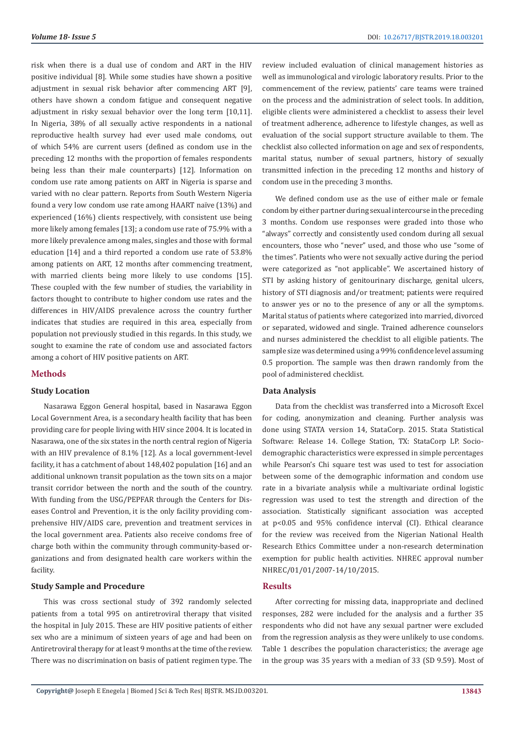risk when there is a dual use of condom and ART in the HIV positive individual [8]. While some studies have shown a positive adjustment in sexual risk behavior after commencing ART [9], others have shown a condom fatigue and consequent negative adjustment in risky sexual behavior over the long term [10,11]. In Nigeria, 38% of all sexually active respondents in a national reproductive health survey had ever used male condoms, out of which 54% are current users (defined as condom use in the preceding 12 months with the proportion of females respondents being less than their male counterparts) [12]. Information on condom use rate among patients on ART in Nigeria is sparse and varied with no clear pattern. Reports from South Western Nigeria found a very low condom use rate among HAART naïve (13%) and experienced (16%) clients respectively, with consistent use being more likely among females [13]; a condom use rate of 75.9% with a more likely prevalence among males, singles and those with formal education [14] and a third reported a condom use rate of 53.8% among patients on ART, 12 months after commencing treatment, with married clients being more likely to use condoms [15]. These coupled with the few number of studies, the variability in factors thought to contribute to higher condom use rates and the differences in HIV/AIDS prevalence across the country further indicates that studies are required in this area, especially from population not previously studied in this regards. In this study, we sought to examine the rate of condom use and associated factors among a cohort of HIV positive patients on ART.

### **Methods**

# **Study Location**

Nasarawa Eggon General hospital, based in Nasarawa Eggon Local Government Area, is a secondary health facility that has been providing care for people living with HIV since 2004. It is located in Nasarawa, one of the six states in the north central region of Nigeria with an HIV prevalence of 8.1% [12]. As a local government-level facility, it has a catchment of about 148,402 population [16] and an additional unknown transit population as the town sits on a major transit corridor between the north and the south of the country. With funding from the USG/PEPFAR through the Centers for Diseases Control and Prevention, it is the only facility providing comprehensive HIV/AIDS care, prevention and treatment services in the local government area. Patients also receive condoms free of charge both within the community through community-based organizations and from designated health care workers within the facility.

# **Study Sample and Procedure**

This was cross sectional study of 392 randomly selected patients from a total 995 on antiretroviral therapy that visited the hospital in July 2015. These are HIV positive patients of either sex who are a minimum of sixteen years of age and had been on Antiretroviral therapy for at least 9 months at the time of the review. There was no discrimination on basis of patient regimen type. The

review included evaluation of clinical management histories as well as immunological and virologic laboratory results. Prior to the commencement of the review, patients' care teams were trained on the process and the administration of select tools. In addition, eligible clients were administered a checklist to assess their level of treatment adherence, adherence to lifestyle changes, as well as evaluation of the social support structure available to them. The checklist also collected information on age and sex of respondents, marital status, number of sexual partners, history of sexually transmitted infection in the preceding 12 months and history of condom use in the preceding 3 months.

We defined condom use as the use of either male or female condom by either partner during sexual intercourse in the preceding 3 months. Condom use responses were graded into those who "always" correctly and consistently used condom during all sexual encounters, those who "never" used, and those who use "some of the times". Patients who were not sexually active during the period were categorized as "not applicable". We ascertained history of STI by asking history of genitourinary discharge, genital ulcers, history of STI diagnosis and/or treatment: patients were required to answer yes or no to the presence of any or all the symptoms. Marital status of patients where categorized into married, divorced or separated, widowed and single. Trained adherence counselors and nurses administered the checklist to all eligible patients. The sample size was determined using a 99% confidence level assuming 0.5 proportion. The sample was then drawn randomly from the pool of administered checklist.

# **Data Analysis**

Data from the checklist was transferred into a Microsoft Excel for coding, anonymization and cleaning. Further analysis was done using STATA version 14, StataCorp. 2015. Stata Statistical Software: Release 14. College Station, TX: StataCorp LP. Sociodemographic characteristics were expressed in simple percentages while Pearson's Chi square test was used to test for association between some of the demographic information and condom use rate in a bivariate analysis while a multivariate ordinal logistic regression was used to test the strength and direction of the association. Statistically significant association was accepted at p<0.05 and 95% confidence interval (CI). Ethical clearance for the review was received from the Nigerian National Health Research Ethics Committee under a non-research determination exemption for public health activities. NHREC approval number NHREC/01/01/2007-14/10/2015.

# **Results**

After correcting for missing data, inappropriate and declined responses, 282 were included for the analysis and a further 35 respondents who did not have any sexual partner were excluded from the regression analysis as they were unlikely to use condoms. Table 1 describes the population characteristics; the average age in the group was 35 years with a median of 33 (SD 9.59). Most of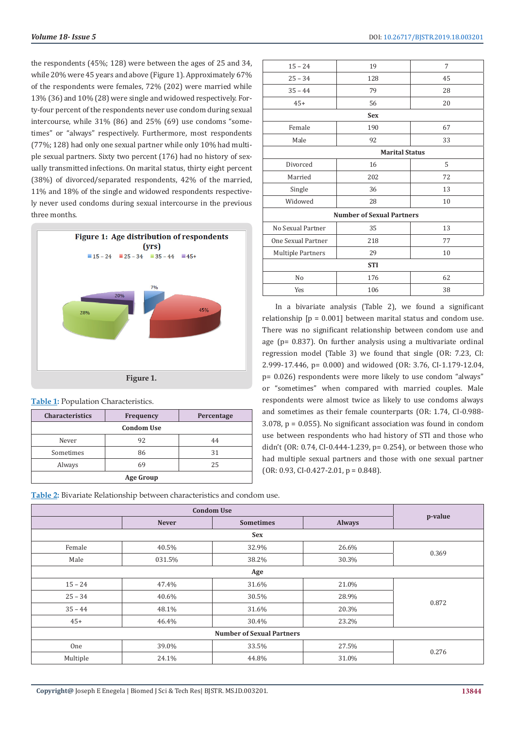the respondents (45%; 128) were between the ages of 25 and 34, while 20% were 45 years and above (Figure 1). Approximately 67% of the respondents were females, 72% (202) were married while 13% (36) and 10% (28) were single and widowed respectively. Forty-four percent of the respondents never use condom during sexual intercourse, while 31% (86) and 25% (69) use condoms "sometimes" or "always" respectively. Furthermore, most respondents (77%; 128) had only one sexual partner while only 10% had multiple sexual partners. Sixty two percent (176) had no history of sexually transmitted infections. On marital status, thirty eight percent (38%) of divorced/separated respondents, 42% of the married, 11% and 18% of the single and widowed respondents respectively never used condoms during sexual intercourse in the previous three months.



| Table 1: Population Characteristics. |  |
|--------------------------------------|--|
|--------------------------------------|--|

| <b>Characteristics</b> | <b>Frequency</b> | Percentage |  |  |
|------------------------|------------------|------------|--|--|
| <b>Condom Use</b>      |                  |            |  |  |
| Never                  | 92               | 44         |  |  |
| Sometimes              | 86               | 31         |  |  |
| Always                 | 69               | 25         |  |  |
| <b>Age Group</b>       |                  |            |  |  |

|  | Table 2: Bivariate Relationship between characteristics and condom use. |
|--|-------------------------------------------------------------------------|
|--|-------------------------------------------------------------------------|

| <b>Condom Use</b>                |              |                  |               |         |
|----------------------------------|--------------|------------------|---------------|---------|
|                                  | <b>Never</b> | <b>Sometimes</b> | <b>Always</b> | p-value |
|                                  |              | <b>Sex</b>       |               |         |
| Female                           | 40.5%        | 32.9%            | 26.6%         | 0.369   |
| Male                             | 031.5%       | 38.2%            | 30.3%         |         |
|                                  |              | Age              |               |         |
| $15 - 24$                        | 47.4%        | 31.6%            | 21.0%         | 0.872   |
| $25 - 34$                        | 40.6%        | 30.5%            | 28.9%         |         |
| $35 - 44$                        | 48.1%        | 31.6%            | 20.3%         |         |
| $45+$                            | 46.4%        | 30.4%            | 23.2%         |         |
| <b>Number of Sexual Partners</b> |              |                  |               |         |
| One                              | 39.0%        | 33.5%            | 27.5%         | 0.276   |
| Multiple                         | 24.1%        | 44.8%            | 31.0%         |         |

| 19                               | 7  |  |  |  |
|----------------------------------|----|--|--|--|
| 128                              | 45 |  |  |  |
| 79                               | 28 |  |  |  |
| 56                               | 20 |  |  |  |
| <b>Sex</b>                       |    |  |  |  |
| 190                              | 67 |  |  |  |
| 92                               | 33 |  |  |  |
| <b>Marital Status</b>            |    |  |  |  |
| 16                               | 5  |  |  |  |
| 202                              | 72 |  |  |  |
| 36                               | 13 |  |  |  |
| 28                               | 10 |  |  |  |
| <b>Number of Sexual Partners</b> |    |  |  |  |
| 35                               | 13 |  |  |  |
| 218                              | 77 |  |  |  |
| 29                               | 10 |  |  |  |
| <b>STI</b>                       |    |  |  |  |
| 176                              | 62 |  |  |  |
| 106                              | 38 |  |  |  |
|                                  |    |  |  |  |

In a bivariate analysis (Table 2), we found a significant relationship  $[p = 0.001]$  between marital status and condom use. There was no significant relationship between condom use and age (p= 0.837). On further analysis using a multivariate ordinal regression model (Table 3) we found that single (OR: 7.23, CI: 2.999-17.446, p= 0.000) and widowed (OR: 3.76, CI-1.179-12.04, p= 0.026) respondents were more likely to use condom "always" or "sometimes" when compared with married couples. Male respondents were almost twice as likely to use condoms always and sometimes as their female counterparts (OR: 1.74, CI-0.988- 3.078, p = 0.055). No significant association was found in condom use between respondents who had history of STI and those who didn't (OR: 0.74, CI-0.444-1.239, p= 0.254), or between those who had multiple sexual partners and those with one sexual partner  $(OR: 0.93, CI-0.427-2.01, p = 0.848).$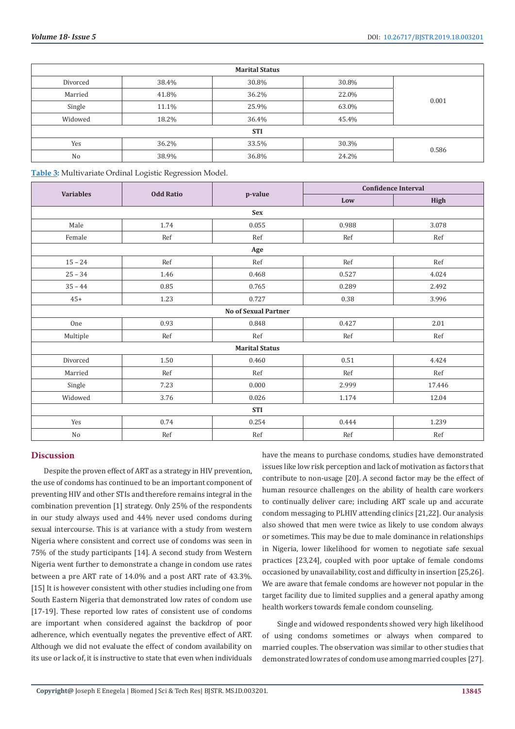| <b>Marital Status</b> |       |       |       |       |
|-----------------------|-------|-------|-------|-------|
| Divorced              | 38.4% | 30.8% | 30.8% | 0.001 |
| Married               | 41.8% | 36.2% | 22.0% |       |
| Single                | 11.1% | 25.9% | 63.0% |       |
| Widowed               | 18.2% | 36.4% | 45.4% |       |
| <b>STI</b>            |       |       |       |       |
| Yes                   | 36.2% | 33.5% | 30.3% | 0.586 |
| No                    | 38.9% | 36.8% | 24.2% |       |

**Table 3:** Multivariate Ordinal Logistic Regression Model.

|                       |                             |            | <b>Confidence Interval</b> |        |  |
|-----------------------|-----------------------------|------------|----------------------------|--------|--|
| <b>Variables</b>      | <b>Odd Ratio</b>            | p-value    | Low                        | High   |  |
|                       |                             | <b>Sex</b> |                            |        |  |
| Male                  | 1.74                        | 0.055      | 0.988                      | 3.078  |  |
| Female                | Ref                         | Ref        | Ref                        | Ref    |  |
|                       |                             | Age        |                            |        |  |
| $15 - 24$             | Ref                         | Ref        | Ref                        | Ref    |  |
| $25 - 34$             | 1.46                        | 0.468      | 0.527                      | 4.024  |  |
| $35 - 44$             | 0.85                        | 0.765      | 0.289                      | 2.492  |  |
| $45+$                 | 1.23                        | 0.727      | 0.38                       | 3.996  |  |
|                       | <b>No of Sexual Partner</b> |            |                            |        |  |
| One                   | 0.93                        | 0.848      | 0.427                      | 2.01   |  |
| Multiple              | Ref                         | Ref        | Ref                        | Ref    |  |
| <b>Marital Status</b> |                             |            |                            |        |  |
| Divorced              | 1.50                        | 0.460      | 0.51                       | 4.424  |  |
| Married               | Ref                         | Ref        | Ref                        | Ref    |  |
| Single                | 7.23                        | 0.000      | 2.999                      | 17.446 |  |
| Widowed               | 3.76                        | 0.026      | 1.174                      | 12.04  |  |
| <b>STI</b>            |                             |            |                            |        |  |
| Yes                   | 0.74                        | 0.254      | 0.444                      | 1.239  |  |
| No                    | Ref                         | Ref        | Ref                        | Ref    |  |

# **Discussion**

Despite the proven effect of ART as a strategy in HIV prevention, the use of condoms has continued to be an important component of preventing HIV and other STIs and therefore remains integral in the combination prevention [1] strategy. Only 25% of the respondents in our study always used and 44% never used condoms during sexual intercourse. This is at variance with a study from western Nigeria where consistent and correct use of condoms was seen in 75% of the study participants [14]. A second study from Western Nigeria went further to demonstrate a change in condom use rates between a pre ART rate of 14.0% and a post ART rate of 43.3%. [15] It is however consistent with other studies including one from South Eastern Nigeria that demonstrated low rates of condom use [17-19]. These reported low rates of consistent use of condoms are important when considered against the backdrop of poor adherence, which eventually negates the preventive effect of ART. Although we did not evaluate the effect of condom availability on its use or lack of, it is instructive to state that even when individuals

have the means to purchase condoms, studies have demonstrated issues like low risk perception and lack of motivation as factors that contribute to non-usage [20]. A second factor may be the effect of human resource challenges on the ability of health care workers to continually deliver care; including ART scale up and accurate condom messaging to PLHIV attending clinics [21,22]. Our analysis also showed that men were twice as likely to use condom always or sometimes. This may be due to male dominance in relationships in Nigeria, lower likelihood for women to negotiate safe sexual practices [23,24], coupled with poor uptake of female condoms occasioned by unavailability, cost and difficulty in insertion [25,26]. We are aware that female condoms are however not popular in the target facility due to limited supplies and a general apathy among health workers towards female condom counseling.

 Single and widowed respondents showed very high likelihood of using condoms sometimes or always when compared to married couples. The observation was similar to other studies that demonstrated low rates of condom use among married couples [27].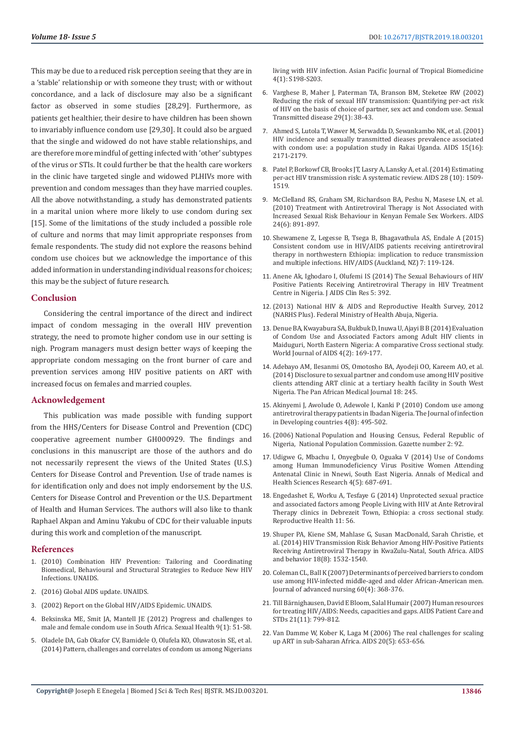This may be due to a reduced risk perception seeing that they are in a 'stable' relationship or with someone they trust; with or without concordance, and a lack of disclosure may also be a significant factor as observed in some studies [28,29]. Furthermore, as patients get healthier, their desire to have children has been shown to invariably influence condom use [29,30]. It could also be argued that the single and widowed do not have stable relationships, and are therefore more mindful of getting infected with 'other' subtypes of the virus or STIs. It could further be that the health care workers in the clinic have targeted single and widowed PLHIVs more with prevention and condom messages than they have married couples. All the above notwithstanding, a study has demonstrated patients in a marital union where more likely to use condom during sex [15]. Some of the limitations of the study included a possible role of culture and norms that may limit appropriate responses from female respondents. The study did not explore the reasons behind condom use choices but we acknowledge the importance of this added information in understanding individual reasons for choices; this may be the subject of future research.

#### **Conclusion**

Considering the central importance of the direct and indirect impact of condom messaging in the overall HIV prevention strategy, the need to promote higher condom use in our setting is nigh. Program managers must design better ways of keeping the appropriate condom messaging on the front burner of care and prevention services among HIV positive patients on ART with increased focus on females and married couples.

#### **Acknowledgement**

This publication was made possible with funding support from the HHS/Centers for Disease Control and Prevention (CDC) cooperative agreement number GH000929. The findings and conclusions in this manuscript are those of the authors and do not necessarily represent the views of the United States (U.S.) Centers for Disease Control and Prevention. Use of trade names is for identification only and does not imply endorsement by the U.S. Centers for Disease Control and Prevention or the U.S. Department of Health and Human Services. The authors will also like to thank Raphael Akpan and Aminu Yakubu of CDC for their valuable inputs during this work and completion of the manuscript.

### **References**

- 1. [\(2010\) Combination HIV Prevention: Tailoring and Coordinating](https://www.unaids.org/en/resources/documents/2010/20101006_JC2007_Combination_Prevention_paper)  [Biomedical, Behavioural and Structural Strategies to Reduce New HIV](https://www.unaids.org/en/resources/documents/2010/20101006_JC2007_Combination_Prevention_paper)  [Infections. UNAIDS.](https://www.unaids.org/en/resources/documents/2010/20101006_JC2007_Combination_Prevention_paper)
- 2. [\(2016\) Global AIDS update. UNAIDS.](https://www.unaids.org/en/resources/documents/2016/Global-AIDS-update-2016)
- 3. [\(2002\) Report on the Global HIV/AIDS Epidemic. UNAIDS.](http://data.unaids.org/pub/report/2002/brglobal_aids_report_en_pdf_red_en.pdf)
- 4. [Beksinska ME, Smit JA, Mantell JE \(2012\) Progress and challenges to](https://www.ncbi.nlm.nih.gov/pmc/articles/PMC3286127/)  [male and female condom use in South Africa. Sexual Health 9\(1\): 51-58.](https://www.ncbi.nlm.nih.gov/pmc/articles/PMC3286127/)
- 5. [Oladele DA, Gab Okafor CV, Bamidele O, Olufela KO, Oluwatosin SE, et al.](https://www.ncbi.nlm.nih.gov/pubmed/25183080)  [\(2014\) Pattern, challenges and correlates of condom us among Nigerians](https://www.ncbi.nlm.nih.gov/pubmed/25183080)

[living with HIV infection. Asian Pacific Journal of Tropical Biomedicine](https://www.ncbi.nlm.nih.gov/pubmed/25183080) [4\(1\): S198-S203.](https://www.ncbi.nlm.nih.gov/pubmed/25183080)

- 6. [Varghese B, Maher J, Paterman TA, Branson BM, Steketee RW \(2002\)](https://www.ncbi.nlm.nih.gov/pubmed/11773877) [Reducing the risk of sexual HIV transmission: Quantifying per-act risk](https://www.ncbi.nlm.nih.gov/pubmed/11773877) [of HIV on the basis of choice of partner, sex act and condom use. Sexual](https://www.ncbi.nlm.nih.gov/pubmed/11773877) [Transmitted disease 29\(1\): 38-43.](https://www.ncbi.nlm.nih.gov/pubmed/11773877)
- 7. [Ahmed S, Lutola T, Wawer M, Serwadda D, Sewankambo NK, et al. \(2001\)](https://www.ncbi.nlm.nih.gov/pubmed/11684937) [HIV incidence and sexually transmitted dieases prevalence associated](https://www.ncbi.nlm.nih.gov/pubmed/11684937) [with condom use: a population study in Rakai Uganda. AIDS 15\(16\):](https://www.ncbi.nlm.nih.gov/pubmed/11684937) [2171-2179.](https://www.ncbi.nlm.nih.gov/pubmed/11684937)
- 8. [Patel P, Borkowf CB, Brooks JT, Lasry A, Lansky A, et al. \(2014\) Estimating](https://www.ncbi.nlm.nih.gov/pubmed/24809629) [per-act HIV transmission risk: A systematic review. AIDS 28 \(10\): 1509-](https://www.ncbi.nlm.nih.gov/pubmed/24809629) [1519.](https://www.ncbi.nlm.nih.gov/pubmed/24809629)
- 9. [McClelland RS, Graham SM, Richardson BA, Peshu N, Masese LN, et al.](https://www.ncbi.nlm.nih.gov/pubmed/20179576) [\(2010\) Treatment with Antiretroviral Therapy is Not Associated with](https://www.ncbi.nlm.nih.gov/pubmed/20179576) [Increased Sexual Risk Behaviour in Kenyan Female Sex Workers. AIDS](https://www.ncbi.nlm.nih.gov/pubmed/20179576) [24\(6\): 891-897.](https://www.ncbi.nlm.nih.gov/pubmed/20179576)
- 10. [Shewamene Z, Legesse B, Tsega B, Bhagavathula AS, Endale A \(2015\)](https://www.ncbi.nlm.nih.gov/pmc/articles/PMC4403739/) [Consistent condom use in HIV/AIDS patients receiving antiretroviral](https://www.ncbi.nlm.nih.gov/pmc/articles/PMC4403739/) [therapy in northwestern Ethiopia: implication to reduce transmission](https://www.ncbi.nlm.nih.gov/pmc/articles/PMC4403739/) [and multiple infections. HIV/AIDS \(Auckland, NZ\) 7: 119-124.](https://www.ncbi.nlm.nih.gov/pmc/articles/PMC4403739/)
- 11. [Anene Ak, Ighodaro I, Olufemi IS \(2014\) The Sexual Behaviours of HIV](https://www.omicsonline.org/open-access/the-sexual-behaviours-of-hiv-positive-patients-receiving-antiretroviral-therapy-in-hiv-treatment-centre-in-nigeria-2155-6113.1000392.php?aid=36048) [Positive Patients Receiving Antiretroviral Therapy in HIV Treatment](https://www.omicsonline.org/open-access/the-sexual-behaviours-of-hiv-positive-patients-receiving-antiretroviral-therapy-in-hiv-treatment-centre-in-nigeria-2155-6113.1000392.php?aid=36048) [Centre in Nigeria. J AIDS Clin Res 5: 392.](https://www.omicsonline.org/open-access/the-sexual-behaviours-of-hiv-positive-patients-receiving-antiretroviral-therapy-in-hiv-treatment-centre-in-nigeria-2155-6113.1000392.php?aid=36048)
- 12. [\(2013\) National HIV & AIDS and Reproductive Health Survey, 2012](https://www.medbox.org/ng-studies-reports/nigeria-national-hiv-aids-and-reproductive-health-survey-2012-narhs-plus/preview) [\(NARHS Plus\). Federal Ministry of Health Abuja, Nigeria.](https://www.medbox.org/ng-studies-reports/nigeria-national-hiv-aids-and-reproductive-health-survey-2012-narhs-plus/preview)
- 13. [Denue BA, Kwayabura SA, Bukbuk D, Inuwa U, Ajayi B B \(2014\) Evaluation](https://www.scirp.org/journal/PaperInformation.aspx?PaperID=46869) [of Condom Use and Associated Factors among Adult HIV clients in](https://www.scirp.org/journal/PaperInformation.aspx?PaperID=46869) [Maiduguri, North Eastern Nigeria: A comparative Cross sectional study.](https://www.scirp.org/journal/PaperInformation.aspx?PaperID=46869) [World Journal of AIDS 4\(2\): 169-177.](https://www.scirp.org/journal/PaperInformation.aspx?PaperID=46869)
- 14. [Adebayo AM, Ilesanmi OS, Omotosho BA, Ayodeji OO, Kareem AO, et al.](https://www.ncbi.nlm.nih.gov/pubmed/25426203) [\(2014\) Disclosure to sexual partner and condom use among HIV positive](https://www.ncbi.nlm.nih.gov/pubmed/25426203) [clients attending ART clinic at a tertiary health facility in South West](https://www.ncbi.nlm.nih.gov/pubmed/25426203) [Nigeria. The Pan African Medical Journal 18: 245.](https://www.ncbi.nlm.nih.gov/pubmed/25426203)
- 15. [Akinyemi J, Awolude O, Adewole I, Kanki P \(2010\) Condom use among](https://www.ncbi.nlm.nih.gov/pubmed/20818101) [antiretroviral therapy patients in Ibadan Nigeria. The Journal of infection](https://www.ncbi.nlm.nih.gov/pubmed/20818101) [in Developing countries 4\(8\): 495-502.](https://www.ncbi.nlm.nih.gov/pubmed/20818101)
- 16. [\(2006\) National Population and Housing Census, Federal Republic of](https://searchworks.stanford.edu/view/8626165) [Nigeria, National Population Commission. Gazette number 2: 92.](https://searchworks.stanford.edu/view/8626165)
- 17. [Udigwe G, Mbachu I, Onyegbule O, Oguaka V \(2014\) Use of Condoms](https://www.ncbi.nlm.nih.gov/pubmed/25328775) [among Human Immunodeficiency Virus Positive Women Attending](https://www.ncbi.nlm.nih.gov/pubmed/25328775) [Antenatal Clinic in Nnewi, South East Nigeria. Annals of Medical and](https://www.ncbi.nlm.nih.gov/pubmed/25328775) [Health Sciences Research 4\(5\): 687-691.](https://www.ncbi.nlm.nih.gov/pubmed/25328775)
- 18. [Engedashet E, Worku A, Tesfaye G \(2014\) Unprotected sexual practice](https://www.ncbi.nlm.nih.gov/pubmed/25048692) [and associated factors among People Living with HIV at Ante Retroviral](https://www.ncbi.nlm.nih.gov/pubmed/25048692) [Therapy clinics in Debrezeit Town, Ethiopia: a cross sectional study.](https://www.ncbi.nlm.nih.gov/pubmed/25048692) [Reproductive Health 11: 56.](https://www.ncbi.nlm.nih.gov/pubmed/25048692)
- 19. [Shuper PA, Kiene SM, Mahlase G, Susan MacDonald, Sarah Christie, et](https://www.ncbi.nlm.nih.gov/pmc/articles/PMC4000573/) [al. \(2014\) HIV Transmission Risk Behavior Among HIV-Positive Patients](https://www.ncbi.nlm.nih.gov/pmc/articles/PMC4000573/) [Receiving Antiretroviral Therapy in KwaZulu-Natal, South Africa. AIDS](https://www.ncbi.nlm.nih.gov/pmc/articles/PMC4000573/) [and behavior 18\(8\): 1532-1540.](https://www.ncbi.nlm.nih.gov/pmc/articles/PMC4000573/)
- 20. [Coleman CL, Ball K \(2007\) Determinants of perceived barriers to condom](https://www.ncbi.nlm.nih.gov/pmc/articles/PMC2042141/) [use among HIV-infected middle-aged and older African-American men.](https://www.ncbi.nlm.nih.gov/pmc/articles/PMC2042141/) [Journal of advanced nursing 60\(4\): 368-376.](https://www.ncbi.nlm.nih.gov/pmc/articles/PMC2042141/)
- 21. [Till Bärnighausen, David E Bloom, Salal Humair \(2007\) Human resources](https://www.ncbi.nlm.nih.gov/pubmed/17944556) [for treating HIV/AIDS: Needs, capacities and gaps. AIDS Patient Care and](https://www.ncbi.nlm.nih.gov/pubmed/17944556) [STDs 21\(11\): 799-812.](https://www.ncbi.nlm.nih.gov/pubmed/17944556)
- 22. [Van Damme W, Kober K, Laga M \(2006\) The real challenges for scaling](https://www.ncbi.nlm.nih.gov/pubmed/16514294) [up ART in sub-Saharan Africa. AIDS 20\(5\): 653-656.](https://www.ncbi.nlm.nih.gov/pubmed/16514294)